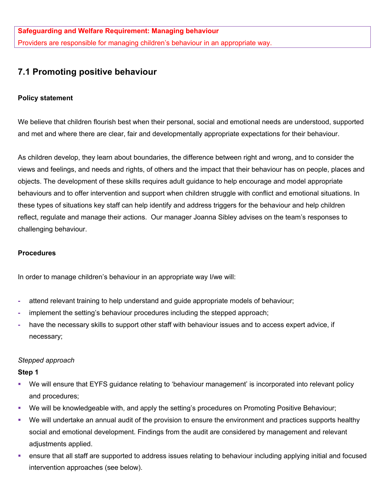# **7.1 Promoting positive behaviour**

# **Policy statement**

We believe that children flourish best when their personal, social and emotional needs are understood, supported and met and where there are clear, fair and developmentally appropriate expectations for their behaviour.

As children develop, they learn about boundaries, the difference between right and wrong, and to consider the views and feelings, and needs and rights, of others and the impact that their behaviour has on people, places and objects. The development of these skills requires adult guidance to help encourage and model appropriate behaviours and to offer intervention and support when children struggle with conflict and emotional situations. In these types of situations key staff can help identify and address triggers for the behaviour and help children reflect, regulate and manage their actions. Our manager Joanna Sibley advises on the team's responses to challenging behaviour.

## **Procedures**

In order to manage children's behaviour in an appropriate way I/we will:

- **-** attend relevant training to help understand and guide appropriate models of behaviour;
- **-** implement the setting's behaviour procedures including the stepped approach;
- **-** have the necessary skills to support other staff with behaviour issues and to access expert advice, if necessary;

## *Stepped approach*

#### **Step 1**

- We will ensure that EYFS guidance relating to 'behaviour management' is incorporated into relevant policy and procedures;
- We will be knowledgeable with, and apply the setting's procedures on Promoting Positive Behaviour;
- § We will undertake an annual audit of the provision to ensure the environment and practices supports healthy social and emotional development. Findings from the audit are considered by management and relevant adjustments applied.
- ensure that all staff are supported to address issues relating to behaviour including applying initial and focused intervention approaches (see below).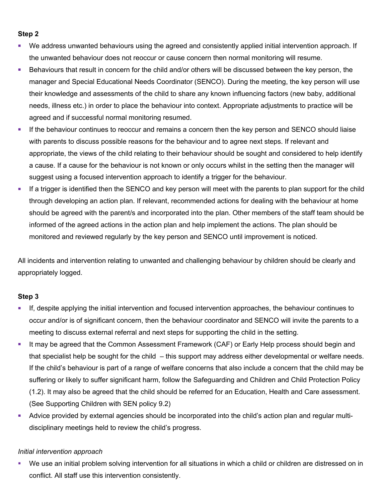#### **Step 2**

- We address unwanted behaviours using the agreed and consistently applied initial intervention approach. If the unwanted behaviour does not reoccur or cause concern then normal monitoring will resume.
- Behaviours that result in concern for the child and/or others will be discussed between the key person, the manager and Special Educational Needs Coordinator (SENCO). During the meeting, the key person will use their knowledge and assessments of the child to share any known influencing factors (new baby, additional needs, illness etc.) in order to place the behaviour into context. Appropriate adjustments to practice will be agreed and if successful normal monitoring resumed.
- If the behaviour continues to reoccur and remains a concern then the key person and SENCO should liaise with parents to discuss possible reasons for the behaviour and to agree next steps. If relevant and appropriate, the views of the child relating to their behaviour should be sought and considered to help identify a cause. If a cause for the behaviour is not known or only occurs whilst in the setting then the manager will suggest using a focused intervention approach to identify a trigger for the behaviour.
- § If a trigger is identified then the SENCO and key person will meet with the parents to plan support for the child through developing an action plan. If relevant, recommended actions for dealing with the behaviour at home should be agreed with the parent/s and incorporated into the plan. Other members of the staff team should be informed of the agreed actions in the action plan and help implement the actions. The plan should be monitored and reviewed regularly by the key person and SENCO until improvement is noticed.

All incidents and intervention relating to unwanted and challenging behaviour by children should be clearly and appropriately logged.

## **Step 3**

- If, despite applying the initial intervention and focused intervention approaches, the behaviour continues to occur and/or is of significant concern, then the behaviour coordinator and SENCO will invite the parents to a meeting to discuss external referral and next steps for supporting the child in the setting.
- It may be agreed that the Common Assessment Framework (CAF) or Early Help process should begin and that specialist help be sought for the child – this support may address either developmental or welfare needs. If the child's behaviour is part of a range of welfare concerns that also include a concern that the child may be suffering or likely to suffer significant harm, follow the Safeguarding and Children and Child Protection Policy (1.2). It may also be agreed that the child should be referred for an Education, Health and Care assessment. (See Supporting Children with SEN policy 9.2)
- Advice provided by external agencies should be incorporated into the child's action plan and regular multidisciplinary meetings held to review the child's progress.

## *Initial intervention approach*

We use an initial problem solving intervention for all situations in which a child or children are distressed on in conflict. All staff use this intervention consistently.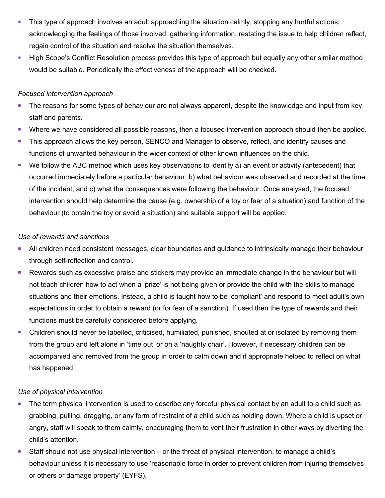- This type of approach involves an adult approaching the situation calmly, stopping any hurtful actions, acknowledging the feelings of those involved, gathering information, restating the issue to help children reflect, regain control of the situation and resolve the situation themselves.
- High Scope's Conflict Resolution process provides this type of approach but equally any other similar method would be suitable. Periodically the effectiveness of the approach will be checked.

#### *Focused intervention approach*

- The reasons for some types of behaviour are not always apparent, despite the knowledge and input from key staff and parents.
- § Where we have considered all possible reasons, then a focused intervention approach should then be applied.
- This approach allows the key person, SENCO and Manager to observe, reflect, and identify causes and functions of unwanted behaviour in the wider context of other known influences on the child.
- We follow the ABC method which uses key observations to identify a) an event or activity (antecedent) that occurred immediately before a particular behaviour, b) what behaviour was observed and recorded at the time of the incident, and c) what the consequences were following the behaviour. Once analysed, the focused intervention should help determine the cause (e.g. ownership of a toy or fear of a situation) and function of the behaviour (to obtain the toy or avoid a situation) and suitable support will be applied.

## *Use of rewards and sanctions*

- All children need consistent messages, clear boundaries and guidance to intrinsically manage their behaviour through self-reflection and control.
- Rewards such as excessive praise and stickers may provide an immediate change in the behaviour but will not teach children how to act when a 'prize' is not being given or provide the child with the skills to manage situations and their emotions. Instead, a child is taught how to be 'compliant' and respond to meet adult's own expectations in order to obtain a reward (or for fear of a sanction). If used then the type of rewards and their functions must be carefully considered before applying.
- Children should never be labelled, criticised, humiliated, punished, shouted at or isolated by removing them from the group and left alone in 'time out' or on a 'naughty chair'. However, if necessary children can be accompanied and removed from the group in order to calm down and if appropriate helped to reflect on what has happened.

## *Use of physical intervention*

- The term physical intervention is used to describe any forceful physical contact by an adult to a child such as grabbing, pulling, dragging, or any form of restraint of a child such as holding down. Where a child is upset or angry, staff will speak to them calmly, encouraging them to vent their frustration in other ways by diverting the child's attention.
- Staff should not use physical intervention or the threat of physical intervention, to manage a child's behaviour unless it is necessary to use 'reasonable force in order to prevent children from injuring themselves or others or damage property' (EYFS).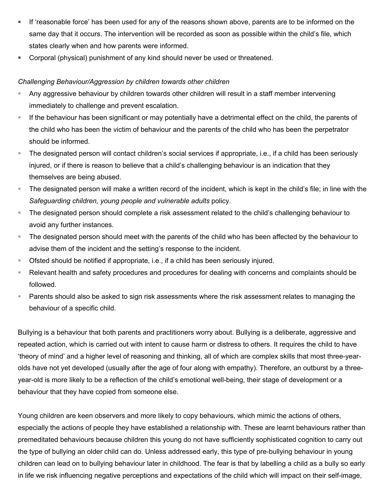- If 'reasonable force' has been used for any of the reasons shown above, parents are to be informed on the same day that it occurs. The intervention will be recorded as soon as possible within the child's file, which states clearly when and how parents were informed.
- § Corporal (physical) punishment of any kind should never be used or threatened.

#### *Challenging Behaviour/Aggression by children towards other children*

- Any aggressive behaviour by children towards other children will result in a staff member intervening immediately to challenge and prevent escalation.
- § If the behaviour has been significant or may potentially have a detrimental effect on the child, the parents of the child who has been the victim of behaviour and the parents of the child who has been the perpetrator should be informed.
- § The designated person will contact children's social services if appropriate, i.e., if a child has been seriously injured, or if there is reason to believe that a child's challenging behaviour is an indication that they themselves are being abused.
- § The designated person will make a written record of the incident, which is kept in the child's file; in line with the *Safeguarding children, young people and vulnerable adults* policy.
- The designated person should complete a risk assessment related to the child's challenging behaviour to avoid any further instances.
- The designated person should meet with the parents of the child who has been affected by the behaviour to advise them of the incident and the setting's response to the incident.
- § Ofsted should be notified if appropriate, i.e., if a child has been seriously injured.
- Relevant health and safety procedures and procedures for dealing with concerns and complaints should be followed.
- Parents should also be asked to sign risk assessments where the risk assessment relates to managing the behaviour of a specific child.

Bullying is a behaviour that both parents and practitioners worry about. Bullying is a deliberate, aggressive and repeated action, which is carried out with intent to cause harm or distress to others. It requires the child to have 'theory of mind' and a higher level of reasoning and thinking, all of which are complex skills that most three-yearolds have not yet developed (usually after the age of four along with empathy). Therefore, an outburst by a threeyear-old is more likely to be a reflection of the child's emotional well-being, their stage of development or a behaviour that they have copied from someone else.

Young children are keen observers and more likely to copy behaviours, which mimic the actions of others, especially the actions of people they have established a relationship with. These are learnt behaviours rather than premeditated behaviours because children this young do not have sufficiently sophisticated cognition to carry out the type of bullying an older child can do. Unless addressed early, this type of pre-bullying behaviour in young children can lead on to bullying behaviour later in childhood. The fear is that by labelling a child as a bully so early in life we risk influencing negative perceptions and expectations of the child which will impact on their self-image,